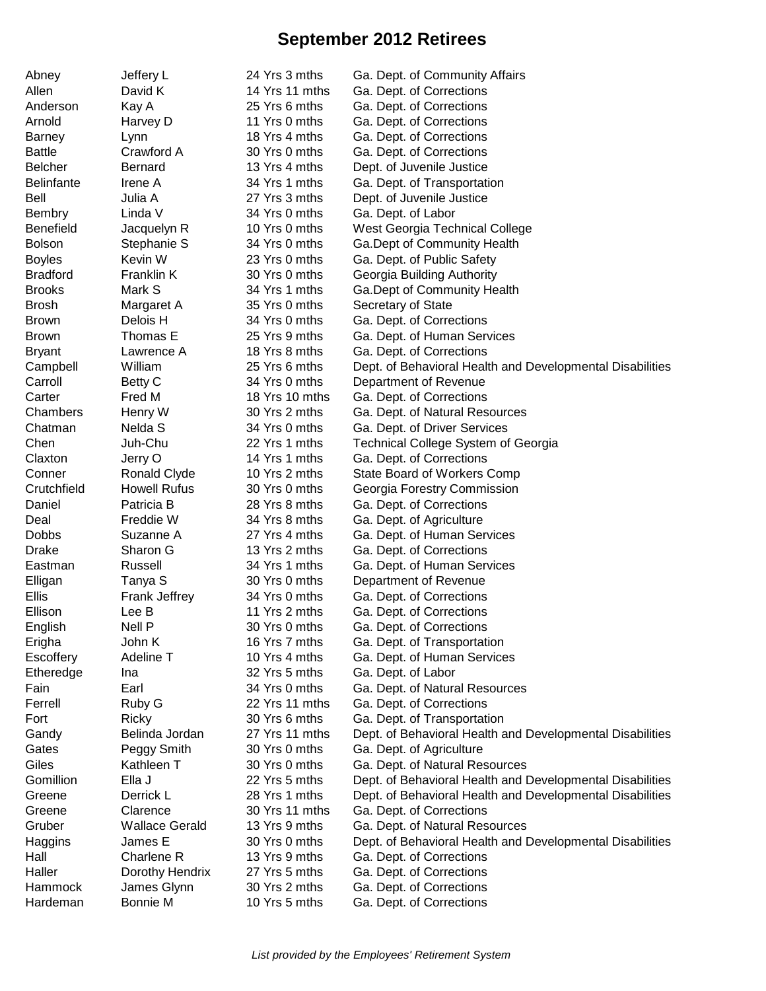## **September 2012 Retirees**

| Allen<br>David K<br>14 Yrs 11 mths<br>Ga. Dept. of Corrections<br>Ga. Dept. of Corrections<br>Anderson<br>Kay A<br>25 Yrs 6 mths<br>Arnold<br>Harvey D<br>11 Yrs 0 mths<br>Ga. Dept. of Corrections<br>18 Yrs 4 mths<br>Ga. Dept. of Corrections<br><b>Barney</b><br>Lynn<br><b>Battle</b><br>Crawford A<br>30 Yrs 0 mths<br>Ga. Dept. of Corrections<br><b>Belcher</b><br><b>Bernard</b><br>13 Yrs 4 mths<br>Dept. of Juvenile Justice<br><b>Belinfante</b><br>Irene A<br>34 Yrs 1 mths<br>Ga. Dept. of Transportation<br>Dept. of Juvenile Justice<br>Bell<br>Julia A<br>27 Yrs 3 mths<br><b>Bembry</b><br>Linda V<br>34 Yrs 0 mths<br>Ga. Dept. of Labor<br><b>Benefield</b><br>10 Yrs 0 mths<br>West Georgia Technical College<br>Jacquelyn R<br>Stephanie S<br>34 Yrs 0 mths<br>Ga.Dept of Community Health<br>Kevin W<br>23 Yrs 0 mths<br>Ga. Dept. of Public Safety<br>Franklin K<br>30 Yrs 0 mths<br>Georgia Building Authority<br>Mark S<br>34 Yrs 1 mths<br>Ga. Dept of Community Health<br>35 Yrs 0 mths<br>Secretary of State<br>Margaret A<br>Delois H<br>34 Yrs 0 mths<br>Ga. Dept. of Corrections<br>Thomas E<br>25 Yrs 9 mths<br>Ga. Dept. of Human Services<br><b>Bryant</b><br>Lawrence A<br>18 Yrs 8 mths<br>Ga. Dept. of Corrections<br>Campbell<br>William<br>25 Yrs 6 mths<br>Dept. of Behavioral Health and Developmental Disabilities<br>Carroll<br>Betty C<br>34 Yrs 0 mths<br>Department of Revenue<br>Fred M<br>18 Yrs 10 mths<br>Carter<br>Ga. Dept. of Corrections<br>30 Yrs 2 mths<br>Chambers<br>Ga. Dept. of Natural Resources<br>Henry W<br>Nelda S<br>34 Yrs 0 mths<br>Ga. Dept. of Driver Services<br>Chatman<br>Juh-Chu<br>22 Yrs 1 mths<br>Chen<br>Technical College System of Georgia<br>14 Yrs 1 mths<br>Ga. Dept. of Corrections<br>Claxton<br>Jerry O<br>10 Yrs 2 mths<br>Conner<br>Ronald Clyde<br>State Board of Workers Comp<br><b>Howell Rufus</b><br>30 Yrs 0 mths<br>Crutchfield<br>Georgia Forestry Commission<br>28 Yrs 8 mths<br>Daniel<br>Patricia B<br>Ga. Dept. of Corrections<br>Freddie W<br>34 Yrs 8 mths<br>Ga. Dept. of Agriculture<br>Deal<br><b>Dobbs</b><br>Suzanne A<br>27 Yrs 4 mths<br>Ga. Dept. of Human Services<br>13 Yrs 2 mths<br><b>Drake</b><br>Sharon G<br>Ga. Dept. of Corrections<br>Russell<br>34 Yrs 1 mths<br>Ga. Dept. of Human Services<br>Eastman<br>Tanya S<br>30 Yrs 0 mths<br>Department of Revenue<br>Elligan<br><b>Ellis</b><br>Frank Jeffrey<br>34 Yrs 0 mths<br>Ga. Dept. of Corrections<br>Ellison<br>11 Yrs 2 mths<br>Lee B<br>Ga. Dept. of Corrections<br>English<br>Nell P<br>30 Yrs 0 mths<br>Ga. Dept. of Corrections<br>John K<br>16 Yrs 7 mths<br>Ga. Dept. of Transportation<br>Erigha<br>Adeline T<br>Escoffery<br>10 Yrs 4 mths<br>Ga. Dept. of Human Services<br>Etheredge<br>32 Yrs 5 mths<br>Ga. Dept. of Labor<br>Ina<br>Earl<br>34 Yrs 0 mths<br>Ga. Dept. of Natural Resources<br>Fain<br>Ferrell<br>Ruby G<br>22 Yrs 11 mths<br>Ga. Dept. of Corrections<br>Fort<br>Ricky<br>30 Yrs 6 mths<br>Ga. Dept. of Transportation<br>Belinda Jordan<br>27 Yrs 11 mths<br>Dept. of Behavioral Health and Developmental Disabilities<br>Gandy<br>Gates<br>Peggy Smith<br>30 Yrs 0 mths<br>Ga. Dept. of Agriculture<br>Giles<br>Kathleen T<br>30 Yrs 0 mths<br>Ga. Dept. of Natural Resources<br>Gomillion<br>Dept. of Behavioral Health and Developmental Disabilities<br>Ella J<br>22 Yrs 5 mths<br>28 Yrs 1 mths<br>Dept. of Behavioral Health and Developmental Disabilities<br>Greene<br>Derrick L<br>30 Yrs 11 mths<br>Greene<br>Clarence<br>Ga. Dept. of Corrections<br>Gruber<br><b>Wallace Gerald</b><br>13 Yrs 9 mths<br>Ga. Dept. of Natural Resources<br>James E<br>30 Yrs 0 mths<br>Haggins<br>Dept. of Behavioral Health and Developmental Disabilities<br>Hall<br>Charlene R<br>13 Yrs 9 mths<br>Ga. Dept. of Corrections<br>Dorothy Hendrix<br>27 Yrs 5 mths<br>Ga. Dept. of Corrections<br>30 Yrs 2 mths<br>Hammock<br>James Glynn<br>Ga. Dept. of Corrections | Abney           | Jeffery L | 24 Yrs 3 mths | Ga. Dept. of Community Affairs |
|-------------------------------------------------------------------------------------------------------------------------------------------------------------------------------------------------------------------------------------------------------------------------------------------------------------------------------------------------------------------------------------------------------------------------------------------------------------------------------------------------------------------------------------------------------------------------------------------------------------------------------------------------------------------------------------------------------------------------------------------------------------------------------------------------------------------------------------------------------------------------------------------------------------------------------------------------------------------------------------------------------------------------------------------------------------------------------------------------------------------------------------------------------------------------------------------------------------------------------------------------------------------------------------------------------------------------------------------------------------------------------------------------------------------------------------------------------------------------------------------------------------------------------------------------------------------------------------------------------------------------------------------------------------------------------------------------------------------------------------------------------------------------------------------------------------------------------------------------------------------------------------------------------------------------------------------------------------------------------------------------------------------------------------------------------------------------------------------------------------------------------------------------------------------------------------------------------------------------------------------------------------------------------------------------------------------------------------------------------------------------------------------------------------------------------------------------------------------------------------------------------------------------------------------------------------------------------------------------------------------------------------------------------------------------------------------------------------------------------------------------------------------------------------------------------------------------------------------------------------------------------------------------------------------------------------------------------------------------------------------------------------------------------------------------------------------------------------------------------------------------------------------------------------------------------------------------------------------------------------------------------------------------------------------------------------------------------------------------------------------------------------------------------------------------------------------------------------------------------------------------------------------------------------------------------------------------------------------------------------------------------------------------------------------------------------------------------------------------------------------------------------------------------------------------------------------------------------------------------------------------------------------------------------------------------------------------------------------------------|-----------------|-----------|---------------|--------------------------------|
|                                                                                                                                                                                                                                                                                                                                                                                                                                                                                                                                                                                                                                                                                                                                                                                                                                                                                                                                                                                                                                                                                                                                                                                                                                                                                                                                                                                                                                                                                                                                                                                                                                                                                                                                                                                                                                                                                                                                                                                                                                                                                                                                                                                                                                                                                                                                                                                                                                                                                                                                                                                                                                                                                                                                                                                                                                                                                                                                                                                                                                                                                                                                                                                                                                                                                                                                                                                                                                                                                                                                                                                                                                                                                                                                                                                                                                                                                                                                                                               |                 |           |               |                                |
|                                                                                                                                                                                                                                                                                                                                                                                                                                                                                                                                                                                                                                                                                                                                                                                                                                                                                                                                                                                                                                                                                                                                                                                                                                                                                                                                                                                                                                                                                                                                                                                                                                                                                                                                                                                                                                                                                                                                                                                                                                                                                                                                                                                                                                                                                                                                                                                                                                                                                                                                                                                                                                                                                                                                                                                                                                                                                                                                                                                                                                                                                                                                                                                                                                                                                                                                                                                                                                                                                                                                                                                                                                                                                                                                                                                                                                                                                                                                                                               |                 |           |               |                                |
|                                                                                                                                                                                                                                                                                                                                                                                                                                                                                                                                                                                                                                                                                                                                                                                                                                                                                                                                                                                                                                                                                                                                                                                                                                                                                                                                                                                                                                                                                                                                                                                                                                                                                                                                                                                                                                                                                                                                                                                                                                                                                                                                                                                                                                                                                                                                                                                                                                                                                                                                                                                                                                                                                                                                                                                                                                                                                                                                                                                                                                                                                                                                                                                                                                                                                                                                                                                                                                                                                                                                                                                                                                                                                                                                                                                                                                                                                                                                                                               |                 |           |               |                                |
|                                                                                                                                                                                                                                                                                                                                                                                                                                                                                                                                                                                                                                                                                                                                                                                                                                                                                                                                                                                                                                                                                                                                                                                                                                                                                                                                                                                                                                                                                                                                                                                                                                                                                                                                                                                                                                                                                                                                                                                                                                                                                                                                                                                                                                                                                                                                                                                                                                                                                                                                                                                                                                                                                                                                                                                                                                                                                                                                                                                                                                                                                                                                                                                                                                                                                                                                                                                                                                                                                                                                                                                                                                                                                                                                                                                                                                                                                                                                                                               |                 |           |               |                                |
|                                                                                                                                                                                                                                                                                                                                                                                                                                                                                                                                                                                                                                                                                                                                                                                                                                                                                                                                                                                                                                                                                                                                                                                                                                                                                                                                                                                                                                                                                                                                                                                                                                                                                                                                                                                                                                                                                                                                                                                                                                                                                                                                                                                                                                                                                                                                                                                                                                                                                                                                                                                                                                                                                                                                                                                                                                                                                                                                                                                                                                                                                                                                                                                                                                                                                                                                                                                                                                                                                                                                                                                                                                                                                                                                                                                                                                                                                                                                                                               |                 |           |               |                                |
|                                                                                                                                                                                                                                                                                                                                                                                                                                                                                                                                                                                                                                                                                                                                                                                                                                                                                                                                                                                                                                                                                                                                                                                                                                                                                                                                                                                                                                                                                                                                                                                                                                                                                                                                                                                                                                                                                                                                                                                                                                                                                                                                                                                                                                                                                                                                                                                                                                                                                                                                                                                                                                                                                                                                                                                                                                                                                                                                                                                                                                                                                                                                                                                                                                                                                                                                                                                                                                                                                                                                                                                                                                                                                                                                                                                                                                                                                                                                                                               |                 |           |               |                                |
|                                                                                                                                                                                                                                                                                                                                                                                                                                                                                                                                                                                                                                                                                                                                                                                                                                                                                                                                                                                                                                                                                                                                                                                                                                                                                                                                                                                                                                                                                                                                                                                                                                                                                                                                                                                                                                                                                                                                                                                                                                                                                                                                                                                                                                                                                                                                                                                                                                                                                                                                                                                                                                                                                                                                                                                                                                                                                                                                                                                                                                                                                                                                                                                                                                                                                                                                                                                                                                                                                                                                                                                                                                                                                                                                                                                                                                                                                                                                                                               |                 |           |               |                                |
|                                                                                                                                                                                                                                                                                                                                                                                                                                                                                                                                                                                                                                                                                                                                                                                                                                                                                                                                                                                                                                                                                                                                                                                                                                                                                                                                                                                                                                                                                                                                                                                                                                                                                                                                                                                                                                                                                                                                                                                                                                                                                                                                                                                                                                                                                                                                                                                                                                                                                                                                                                                                                                                                                                                                                                                                                                                                                                                                                                                                                                                                                                                                                                                                                                                                                                                                                                                                                                                                                                                                                                                                                                                                                                                                                                                                                                                                                                                                                                               |                 |           |               |                                |
|                                                                                                                                                                                                                                                                                                                                                                                                                                                                                                                                                                                                                                                                                                                                                                                                                                                                                                                                                                                                                                                                                                                                                                                                                                                                                                                                                                                                                                                                                                                                                                                                                                                                                                                                                                                                                                                                                                                                                                                                                                                                                                                                                                                                                                                                                                                                                                                                                                                                                                                                                                                                                                                                                                                                                                                                                                                                                                                                                                                                                                                                                                                                                                                                                                                                                                                                                                                                                                                                                                                                                                                                                                                                                                                                                                                                                                                                                                                                                                               |                 |           |               |                                |
|                                                                                                                                                                                                                                                                                                                                                                                                                                                                                                                                                                                                                                                                                                                                                                                                                                                                                                                                                                                                                                                                                                                                                                                                                                                                                                                                                                                                                                                                                                                                                                                                                                                                                                                                                                                                                                                                                                                                                                                                                                                                                                                                                                                                                                                                                                                                                                                                                                                                                                                                                                                                                                                                                                                                                                                                                                                                                                                                                                                                                                                                                                                                                                                                                                                                                                                                                                                                                                                                                                                                                                                                                                                                                                                                                                                                                                                                                                                                                                               |                 |           |               |                                |
|                                                                                                                                                                                                                                                                                                                                                                                                                                                                                                                                                                                                                                                                                                                                                                                                                                                                                                                                                                                                                                                                                                                                                                                                                                                                                                                                                                                                                                                                                                                                                                                                                                                                                                                                                                                                                                                                                                                                                                                                                                                                                                                                                                                                                                                                                                                                                                                                                                                                                                                                                                                                                                                                                                                                                                                                                                                                                                                                                                                                                                                                                                                                                                                                                                                                                                                                                                                                                                                                                                                                                                                                                                                                                                                                                                                                                                                                                                                                                                               |                 |           |               |                                |
|                                                                                                                                                                                                                                                                                                                                                                                                                                                                                                                                                                                                                                                                                                                                                                                                                                                                                                                                                                                                                                                                                                                                                                                                                                                                                                                                                                                                                                                                                                                                                                                                                                                                                                                                                                                                                                                                                                                                                                                                                                                                                                                                                                                                                                                                                                                                                                                                                                                                                                                                                                                                                                                                                                                                                                                                                                                                                                                                                                                                                                                                                                                                                                                                                                                                                                                                                                                                                                                                                                                                                                                                                                                                                                                                                                                                                                                                                                                                                                               | <b>Bolson</b>   |           |               |                                |
|                                                                                                                                                                                                                                                                                                                                                                                                                                                                                                                                                                                                                                                                                                                                                                                                                                                                                                                                                                                                                                                                                                                                                                                                                                                                                                                                                                                                                                                                                                                                                                                                                                                                                                                                                                                                                                                                                                                                                                                                                                                                                                                                                                                                                                                                                                                                                                                                                                                                                                                                                                                                                                                                                                                                                                                                                                                                                                                                                                                                                                                                                                                                                                                                                                                                                                                                                                                                                                                                                                                                                                                                                                                                                                                                                                                                                                                                                                                                                                               | <b>Boyles</b>   |           |               |                                |
|                                                                                                                                                                                                                                                                                                                                                                                                                                                                                                                                                                                                                                                                                                                                                                                                                                                                                                                                                                                                                                                                                                                                                                                                                                                                                                                                                                                                                                                                                                                                                                                                                                                                                                                                                                                                                                                                                                                                                                                                                                                                                                                                                                                                                                                                                                                                                                                                                                                                                                                                                                                                                                                                                                                                                                                                                                                                                                                                                                                                                                                                                                                                                                                                                                                                                                                                                                                                                                                                                                                                                                                                                                                                                                                                                                                                                                                                                                                                                                               | <b>Bradford</b> |           |               |                                |
|                                                                                                                                                                                                                                                                                                                                                                                                                                                                                                                                                                                                                                                                                                                                                                                                                                                                                                                                                                                                                                                                                                                                                                                                                                                                                                                                                                                                                                                                                                                                                                                                                                                                                                                                                                                                                                                                                                                                                                                                                                                                                                                                                                                                                                                                                                                                                                                                                                                                                                                                                                                                                                                                                                                                                                                                                                                                                                                                                                                                                                                                                                                                                                                                                                                                                                                                                                                                                                                                                                                                                                                                                                                                                                                                                                                                                                                                                                                                                                               | <b>Brooks</b>   |           |               |                                |
|                                                                                                                                                                                                                                                                                                                                                                                                                                                                                                                                                                                                                                                                                                                                                                                                                                                                                                                                                                                                                                                                                                                                                                                                                                                                                                                                                                                                                                                                                                                                                                                                                                                                                                                                                                                                                                                                                                                                                                                                                                                                                                                                                                                                                                                                                                                                                                                                                                                                                                                                                                                                                                                                                                                                                                                                                                                                                                                                                                                                                                                                                                                                                                                                                                                                                                                                                                                                                                                                                                                                                                                                                                                                                                                                                                                                                                                                                                                                                                               | <b>Brosh</b>    |           |               |                                |
|                                                                                                                                                                                                                                                                                                                                                                                                                                                                                                                                                                                                                                                                                                                                                                                                                                                                                                                                                                                                                                                                                                                                                                                                                                                                                                                                                                                                                                                                                                                                                                                                                                                                                                                                                                                                                                                                                                                                                                                                                                                                                                                                                                                                                                                                                                                                                                                                                                                                                                                                                                                                                                                                                                                                                                                                                                                                                                                                                                                                                                                                                                                                                                                                                                                                                                                                                                                                                                                                                                                                                                                                                                                                                                                                                                                                                                                                                                                                                                               | <b>Brown</b>    |           |               |                                |
|                                                                                                                                                                                                                                                                                                                                                                                                                                                                                                                                                                                                                                                                                                                                                                                                                                                                                                                                                                                                                                                                                                                                                                                                                                                                                                                                                                                                                                                                                                                                                                                                                                                                                                                                                                                                                                                                                                                                                                                                                                                                                                                                                                                                                                                                                                                                                                                                                                                                                                                                                                                                                                                                                                                                                                                                                                                                                                                                                                                                                                                                                                                                                                                                                                                                                                                                                                                                                                                                                                                                                                                                                                                                                                                                                                                                                                                                                                                                                                               | <b>Brown</b>    |           |               |                                |
|                                                                                                                                                                                                                                                                                                                                                                                                                                                                                                                                                                                                                                                                                                                                                                                                                                                                                                                                                                                                                                                                                                                                                                                                                                                                                                                                                                                                                                                                                                                                                                                                                                                                                                                                                                                                                                                                                                                                                                                                                                                                                                                                                                                                                                                                                                                                                                                                                                                                                                                                                                                                                                                                                                                                                                                                                                                                                                                                                                                                                                                                                                                                                                                                                                                                                                                                                                                                                                                                                                                                                                                                                                                                                                                                                                                                                                                                                                                                                                               |                 |           |               |                                |
|                                                                                                                                                                                                                                                                                                                                                                                                                                                                                                                                                                                                                                                                                                                                                                                                                                                                                                                                                                                                                                                                                                                                                                                                                                                                                                                                                                                                                                                                                                                                                                                                                                                                                                                                                                                                                                                                                                                                                                                                                                                                                                                                                                                                                                                                                                                                                                                                                                                                                                                                                                                                                                                                                                                                                                                                                                                                                                                                                                                                                                                                                                                                                                                                                                                                                                                                                                                                                                                                                                                                                                                                                                                                                                                                                                                                                                                                                                                                                                               |                 |           |               |                                |
|                                                                                                                                                                                                                                                                                                                                                                                                                                                                                                                                                                                                                                                                                                                                                                                                                                                                                                                                                                                                                                                                                                                                                                                                                                                                                                                                                                                                                                                                                                                                                                                                                                                                                                                                                                                                                                                                                                                                                                                                                                                                                                                                                                                                                                                                                                                                                                                                                                                                                                                                                                                                                                                                                                                                                                                                                                                                                                                                                                                                                                                                                                                                                                                                                                                                                                                                                                                                                                                                                                                                                                                                                                                                                                                                                                                                                                                                                                                                                                               |                 |           |               |                                |
|                                                                                                                                                                                                                                                                                                                                                                                                                                                                                                                                                                                                                                                                                                                                                                                                                                                                                                                                                                                                                                                                                                                                                                                                                                                                                                                                                                                                                                                                                                                                                                                                                                                                                                                                                                                                                                                                                                                                                                                                                                                                                                                                                                                                                                                                                                                                                                                                                                                                                                                                                                                                                                                                                                                                                                                                                                                                                                                                                                                                                                                                                                                                                                                                                                                                                                                                                                                                                                                                                                                                                                                                                                                                                                                                                                                                                                                                                                                                                                               |                 |           |               |                                |
|                                                                                                                                                                                                                                                                                                                                                                                                                                                                                                                                                                                                                                                                                                                                                                                                                                                                                                                                                                                                                                                                                                                                                                                                                                                                                                                                                                                                                                                                                                                                                                                                                                                                                                                                                                                                                                                                                                                                                                                                                                                                                                                                                                                                                                                                                                                                                                                                                                                                                                                                                                                                                                                                                                                                                                                                                                                                                                                                                                                                                                                                                                                                                                                                                                                                                                                                                                                                                                                                                                                                                                                                                                                                                                                                                                                                                                                                                                                                                                               |                 |           |               |                                |
|                                                                                                                                                                                                                                                                                                                                                                                                                                                                                                                                                                                                                                                                                                                                                                                                                                                                                                                                                                                                                                                                                                                                                                                                                                                                                                                                                                                                                                                                                                                                                                                                                                                                                                                                                                                                                                                                                                                                                                                                                                                                                                                                                                                                                                                                                                                                                                                                                                                                                                                                                                                                                                                                                                                                                                                                                                                                                                                                                                                                                                                                                                                                                                                                                                                                                                                                                                                                                                                                                                                                                                                                                                                                                                                                                                                                                                                                                                                                                                               |                 |           |               |                                |
|                                                                                                                                                                                                                                                                                                                                                                                                                                                                                                                                                                                                                                                                                                                                                                                                                                                                                                                                                                                                                                                                                                                                                                                                                                                                                                                                                                                                                                                                                                                                                                                                                                                                                                                                                                                                                                                                                                                                                                                                                                                                                                                                                                                                                                                                                                                                                                                                                                                                                                                                                                                                                                                                                                                                                                                                                                                                                                                                                                                                                                                                                                                                                                                                                                                                                                                                                                                                                                                                                                                                                                                                                                                                                                                                                                                                                                                                                                                                                                               |                 |           |               |                                |
|                                                                                                                                                                                                                                                                                                                                                                                                                                                                                                                                                                                                                                                                                                                                                                                                                                                                                                                                                                                                                                                                                                                                                                                                                                                                                                                                                                                                                                                                                                                                                                                                                                                                                                                                                                                                                                                                                                                                                                                                                                                                                                                                                                                                                                                                                                                                                                                                                                                                                                                                                                                                                                                                                                                                                                                                                                                                                                                                                                                                                                                                                                                                                                                                                                                                                                                                                                                                                                                                                                                                                                                                                                                                                                                                                                                                                                                                                                                                                                               |                 |           |               |                                |
|                                                                                                                                                                                                                                                                                                                                                                                                                                                                                                                                                                                                                                                                                                                                                                                                                                                                                                                                                                                                                                                                                                                                                                                                                                                                                                                                                                                                                                                                                                                                                                                                                                                                                                                                                                                                                                                                                                                                                                                                                                                                                                                                                                                                                                                                                                                                                                                                                                                                                                                                                                                                                                                                                                                                                                                                                                                                                                                                                                                                                                                                                                                                                                                                                                                                                                                                                                                                                                                                                                                                                                                                                                                                                                                                                                                                                                                                                                                                                                               |                 |           |               |                                |
|                                                                                                                                                                                                                                                                                                                                                                                                                                                                                                                                                                                                                                                                                                                                                                                                                                                                                                                                                                                                                                                                                                                                                                                                                                                                                                                                                                                                                                                                                                                                                                                                                                                                                                                                                                                                                                                                                                                                                                                                                                                                                                                                                                                                                                                                                                                                                                                                                                                                                                                                                                                                                                                                                                                                                                                                                                                                                                                                                                                                                                                                                                                                                                                                                                                                                                                                                                                                                                                                                                                                                                                                                                                                                                                                                                                                                                                                                                                                                                               |                 |           |               |                                |
|                                                                                                                                                                                                                                                                                                                                                                                                                                                                                                                                                                                                                                                                                                                                                                                                                                                                                                                                                                                                                                                                                                                                                                                                                                                                                                                                                                                                                                                                                                                                                                                                                                                                                                                                                                                                                                                                                                                                                                                                                                                                                                                                                                                                                                                                                                                                                                                                                                                                                                                                                                                                                                                                                                                                                                                                                                                                                                                                                                                                                                                                                                                                                                                                                                                                                                                                                                                                                                                                                                                                                                                                                                                                                                                                                                                                                                                                                                                                                                               |                 |           |               |                                |
|                                                                                                                                                                                                                                                                                                                                                                                                                                                                                                                                                                                                                                                                                                                                                                                                                                                                                                                                                                                                                                                                                                                                                                                                                                                                                                                                                                                                                                                                                                                                                                                                                                                                                                                                                                                                                                                                                                                                                                                                                                                                                                                                                                                                                                                                                                                                                                                                                                                                                                                                                                                                                                                                                                                                                                                                                                                                                                                                                                                                                                                                                                                                                                                                                                                                                                                                                                                                                                                                                                                                                                                                                                                                                                                                                                                                                                                                                                                                                                               |                 |           |               |                                |
|                                                                                                                                                                                                                                                                                                                                                                                                                                                                                                                                                                                                                                                                                                                                                                                                                                                                                                                                                                                                                                                                                                                                                                                                                                                                                                                                                                                                                                                                                                                                                                                                                                                                                                                                                                                                                                                                                                                                                                                                                                                                                                                                                                                                                                                                                                                                                                                                                                                                                                                                                                                                                                                                                                                                                                                                                                                                                                                                                                                                                                                                                                                                                                                                                                                                                                                                                                                                                                                                                                                                                                                                                                                                                                                                                                                                                                                                                                                                                                               |                 |           |               |                                |
|                                                                                                                                                                                                                                                                                                                                                                                                                                                                                                                                                                                                                                                                                                                                                                                                                                                                                                                                                                                                                                                                                                                                                                                                                                                                                                                                                                                                                                                                                                                                                                                                                                                                                                                                                                                                                                                                                                                                                                                                                                                                                                                                                                                                                                                                                                                                                                                                                                                                                                                                                                                                                                                                                                                                                                                                                                                                                                                                                                                                                                                                                                                                                                                                                                                                                                                                                                                                                                                                                                                                                                                                                                                                                                                                                                                                                                                                                                                                                                               |                 |           |               |                                |
|                                                                                                                                                                                                                                                                                                                                                                                                                                                                                                                                                                                                                                                                                                                                                                                                                                                                                                                                                                                                                                                                                                                                                                                                                                                                                                                                                                                                                                                                                                                                                                                                                                                                                                                                                                                                                                                                                                                                                                                                                                                                                                                                                                                                                                                                                                                                                                                                                                                                                                                                                                                                                                                                                                                                                                                                                                                                                                                                                                                                                                                                                                                                                                                                                                                                                                                                                                                                                                                                                                                                                                                                                                                                                                                                                                                                                                                                                                                                                                               |                 |           |               |                                |
|                                                                                                                                                                                                                                                                                                                                                                                                                                                                                                                                                                                                                                                                                                                                                                                                                                                                                                                                                                                                                                                                                                                                                                                                                                                                                                                                                                                                                                                                                                                                                                                                                                                                                                                                                                                                                                                                                                                                                                                                                                                                                                                                                                                                                                                                                                                                                                                                                                                                                                                                                                                                                                                                                                                                                                                                                                                                                                                                                                                                                                                                                                                                                                                                                                                                                                                                                                                                                                                                                                                                                                                                                                                                                                                                                                                                                                                                                                                                                                               |                 |           |               |                                |
|                                                                                                                                                                                                                                                                                                                                                                                                                                                                                                                                                                                                                                                                                                                                                                                                                                                                                                                                                                                                                                                                                                                                                                                                                                                                                                                                                                                                                                                                                                                                                                                                                                                                                                                                                                                                                                                                                                                                                                                                                                                                                                                                                                                                                                                                                                                                                                                                                                                                                                                                                                                                                                                                                                                                                                                                                                                                                                                                                                                                                                                                                                                                                                                                                                                                                                                                                                                                                                                                                                                                                                                                                                                                                                                                                                                                                                                                                                                                                                               |                 |           |               |                                |
|                                                                                                                                                                                                                                                                                                                                                                                                                                                                                                                                                                                                                                                                                                                                                                                                                                                                                                                                                                                                                                                                                                                                                                                                                                                                                                                                                                                                                                                                                                                                                                                                                                                                                                                                                                                                                                                                                                                                                                                                                                                                                                                                                                                                                                                                                                                                                                                                                                                                                                                                                                                                                                                                                                                                                                                                                                                                                                                                                                                                                                                                                                                                                                                                                                                                                                                                                                                                                                                                                                                                                                                                                                                                                                                                                                                                                                                                                                                                                                               |                 |           |               |                                |
|                                                                                                                                                                                                                                                                                                                                                                                                                                                                                                                                                                                                                                                                                                                                                                                                                                                                                                                                                                                                                                                                                                                                                                                                                                                                                                                                                                                                                                                                                                                                                                                                                                                                                                                                                                                                                                                                                                                                                                                                                                                                                                                                                                                                                                                                                                                                                                                                                                                                                                                                                                                                                                                                                                                                                                                                                                                                                                                                                                                                                                                                                                                                                                                                                                                                                                                                                                                                                                                                                                                                                                                                                                                                                                                                                                                                                                                                                                                                                                               |                 |           |               |                                |
|                                                                                                                                                                                                                                                                                                                                                                                                                                                                                                                                                                                                                                                                                                                                                                                                                                                                                                                                                                                                                                                                                                                                                                                                                                                                                                                                                                                                                                                                                                                                                                                                                                                                                                                                                                                                                                                                                                                                                                                                                                                                                                                                                                                                                                                                                                                                                                                                                                                                                                                                                                                                                                                                                                                                                                                                                                                                                                                                                                                                                                                                                                                                                                                                                                                                                                                                                                                                                                                                                                                                                                                                                                                                                                                                                                                                                                                                                                                                                                               |                 |           |               |                                |
|                                                                                                                                                                                                                                                                                                                                                                                                                                                                                                                                                                                                                                                                                                                                                                                                                                                                                                                                                                                                                                                                                                                                                                                                                                                                                                                                                                                                                                                                                                                                                                                                                                                                                                                                                                                                                                                                                                                                                                                                                                                                                                                                                                                                                                                                                                                                                                                                                                                                                                                                                                                                                                                                                                                                                                                                                                                                                                                                                                                                                                                                                                                                                                                                                                                                                                                                                                                                                                                                                                                                                                                                                                                                                                                                                                                                                                                                                                                                                                               |                 |           |               |                                |
|                                                                                                                                                                                                                                                                                                                                                                                                                                                                                                                                                                                                                                                                                                                                                                                                                                                                                                                                                                                                                                                                                                                                                                                                                                                                                                                                                                                                                                                                                                                                                                                                                                                                                                                                                                                                                                                                                                                                                                                                                                                                                                                                                                                                                                                                                                                                                                                                                                                                                                                                                                                                                                                                                                                                                                                                                                                                                                                                                                                                                                                                                                                                                                                                                                                                                                                                                                                                                                                                                                                                                                                                                                                                                                                                                                                                                                                                                                                                                                               |                 |           |               |                                |
|                                                                                                                                                                                                                                                                                                                                                                                                                                                                                                                                                                                                                                                                                                                                                                                                                                                                                                                                                                                                                                                                                                                                                                                                                                                                                                                                                                                                                                                                                                                                                                                                                                                                                                                                                                                                                                                                                                                                                                                                                                                                                                                                                                                                                                                                                                                                                                                                                                                                                                                                                                                                                                                                                                                                                                                                                                                                                                                                                                                                                                                                                                                                                                                                                                                                                                                                                                                                                                                                                                                                                                                                                                                                                                                                                                                                                                                                                                                                                                               |                 |           |               |                                |
|                                                                                                                                                                                                                                                                                                                                                                                                                                                                                                                                                                                                                                                                                                                                                                                                                                                                                                                                                                                                                                                                                                                                                                                                                                                                                                                                                                                                                                                                                                                                                                                                                                                                                                                                                                                                                                                                                                                                                                                                                                                                                                                                                                                                                                                                                                                                                                                                                                                                                                                                                                                                                                                                                                                                                                                                                                                                                                                                                                                                                                                                                                                                                                                                                                                                                                                                                                                                                                                                                                                                                                                                                                                                                                                                                                                                                                                                                                                                                                               |                 |           |               |                                |
|                                                                                                                                                                                                                                                                                                                                                                                                                                                                                                                                                                                                                                                                                                                                                                                                                                                                                                                                                                                                                                                                                                                                                                                                                                                                                                                                                                                                                                                                                                                                                                                                                                                                                                                                                                                                                                                                                                                                                                                                                                                                                                                                                                                                                                                                                                                                                                                                                                                                                                                                                                                                                                                                                                                                                                                                                                                                                                                                                                                                                                                                                                                                                                                                                                                                                                                                                                                                                                                                                                                                                                                                                                                                                                                                                                                                                                                                                                                                                                               |                 |           |               |                                |
|                                                                                                                                                                                                                                                                                                                                                                                                                                                                                                                                                                                                                                                                                                                                                                                                                                                                                                                                                                                                                                                                                                                                                                                                                                                                                                                                                                                                                                                                                                                                                                                                                                                                                                                                                                                                                                                                                                                                                                                                                                                                                                                                                                                                                                                                                                                                                                                                                                                                                                                                                                                                                                                                                                                                                                                                                                                                                                                                                                                                                                                                                                                                                                                                                                                                                                                                                                                                                                                                                                                                                                                                                                                                                                                                                                                                                                                                                                                                                                               |                 |           |               |                                |
|                                                                                                                                                                                                                                                                                                                                                                                                                                                                                                                                                                                                                                                                                                                                                                                                                                                                                                                                                                                                                                                                                                                                                                                                                                                                                                                                                                                                                                                                                                                                                                                                                                                                                                                                                                                                                                                                                                                                                                                                                                                                                                                                                                                                                                                                                                                                                                                                                                                                                                                                                                                                                                                                                                                                                                                                                                                                                                                                                                                                                                                                                                                                                                                                                                                                                                                                                                                                                                                                                                                                                                                                                                                                                                                                                                                                                                                                                                                                                                               |                 |           |               |                                |
|                                                                                                                                                                                                                                                                                                                                                                                                                                                                                                                                                                                                                                                                                                                                                                                                                                                                                                                                                                                                                                                                                                                                                                                                                                                                                                                                                                                                                                                                                                                                                                                                                                                                                                                                                                                                                                                                                                                                                                                                                                                                                                                                                                                                                                                                                                                                                                                                                                                                                                                                                                                                                                                                                                                                                                                                                                                                                                                                                                                                                                                                                                                                                                                                                                                                                                                                                                                                                                                                                                                                                                                                                                                                                                                                                                                                                                                                                                                                                                               |                 |           |               |                                |
|                                                                                                                                                                                                                                                                                                                                                                                                                                                                                                                                                                                                                                                                                                                                                                                                                                                                                                                                                                                                                                                                                                                                                                                                                                                                                                                                                                                                                                                                                                                                                                                                                                                                                                                                                                                                                                                                                                                                                                                                                                                                                                                                                                                                                                                                                                                                                                                                                                                                                                                                                                                                                                                                                                                                                                                                                                                                                                                                                                                                                                                                                                                                                                                                                                                                                                                                                                                                                                                                                                                                                                                                                                                                                                                                                                                                                                                                                                                                                                               |                 |           |               |                                |
|                                                                                                                                                                                                                                                                                                                                                                                                                                                                                                                                                                                                                                                                                                                                                                                                                                                                                                                                                                                                                                                                                                                                                                                                                                                                                                                                                                                                                                                                                                                                                                                                                                                                                                                                                                                                                                                                                                                                                                                                                                                                                                                                                                                                                                                                                                                                                                                                                                                                                                                                                                                                                                                                                                                                                                                                                                                                                                                                                                                                                                                                                                                                                                                                                                                                                                                                                                                                                                                                                                                                                                                                                                                                                                                                                                                                                                                                                                                                                                               |                 |           |               |                                |
|                                                                                                                                                                                                                                                                                                                                                                                                                                                                                                                                                                                                                                                                                                                                                                                                                                                                                                                                                                                                                                                                                                                                                                                                                                                                                                                                                                                                                                                                                                                                                                                                                                                                                                                                                                                                                                                                                                                                                                                                                                                                                                                                                                                                                                                                                                                                                                                                                                                                                                                                                                                                                                                                                                                                                                                                                                                                                                                                                                                                                                                                                                                                                                                                                                                                                                                                                                                                                                                                                                                                                                                                                                                                                                                                                                                                                                                                                                                                                                               |                 |           |               |                                |
|                                                                                                                                                                                                                                                                                                                                                                                                                                                                                                                                                                                                                                                                                                                                                                                                                                                                                                                                                                                                                                                                                                                                                                                                                                                                                                                                                                                                                                                                                                                                                                                                                                                                                                                                                                                                                                                                                                                                                                                                                                                                                                                                                                                                                                                                                                                                                                                                                                                                                                                                                                                                                                                                                                                                                                                                                                                                                                                                                                                                                                                                                                                                                                                                                                                                                                                                                                                                                                                                                                                                                                                                                                                                                                                                                                                                                                                                                                                                                                               |                 |           |               |                                |
|                                                                                                                                                                                                                                                                                                                                                                                                                                                                                                                                                                                                                                                                                                                                                                                                                                                                                                                                                                                                                                                                                                                                                                                                                                                                                                                                                                                                                                                                                                                                                                                                                                                                                                                                                                                                                                                                                                                                                                                                                                                                                                                                                                                                                                                                                                                                                                                                                                                                                                                                                                                                                                                                                                                                                                                                                                                                                                                                                                                                                                                                                                                                                                                                                                                                                                                                                                                                                                                                                                                                                                                                                                                                                                                                                                                                                                                                                                                                                                               |                 |           |               |                                |
|                                                                                                                                                                                                                                                                                                                                                                                                                                                                                                                                                                                                                                                                                                                                                                                                                                                                                                                                                                                                                                                                                                                                                                                                                                                                                                                                                                                                                                                                                                                                                                                                                                                                                                                                                                                                                                                                                                                                                                                                                                                                                                                                                                                                                                                                                                                                                                                                                                                                                                                                                                                                                                                                                                                                                                                                                                                                                                                                                                                                                                                                                                                                                                                                                                                                                                                                                                                                                                                                                                                                                                                                                                                                                                                                                                                                                                                                                                                                                                               |                 |           |               |                                |
|                                                                                                                                                                                                                                                                                                                                                                                                                                                                                                                                                                                                                                                                                                                                                                                                                                                                                                                                                                                                                                                                                                                                                                                                                                                                                                                                                                                                                                                                                                                                                                                                                                                                                                                                                                                                                                                                                                                                                                                                                                                                                                                                                                                                                                                                                                                                                                                                                                                                                                                                                                                                                                                                                                                                                                                                                                                                                                                                                                                                                                                                                                                                                                                                                                                                                                                                                                                                                                                                                                                                                                                                                                                                                                                                                                                                                                                                                                                                                                               |                 |           |               |                                |
|                                                                                                                                                                                                                                                                                                                                                                                                                                                                                                                                                                                                                                                                                                                                                                                                                                                                                                                                                                                                                                                                                                                                                                                                                                                                                                                                                                                                                                                                                                                                                                                                                                                                                                                                                                                                                                                                                                                                                                                                                                                                                                                                                                                                                                                                                                                                                                                                                                                                                                                                                                                                                                                                                                                                                                                                                                                                                                                                                                                                                                                                                                                                                                                                                                                                                                                                                                                                                                                                                                                                                                                                                                                                                                                                                                                                                                                                                                                                                                               | Haller          |           |               |                                |
|                                                                                                                                                                                                                                                                                                                                                                                                                                                                                                                                                                                                                                                                                                                                                                                                                                                                                                                                                                                                                                                                                                                                                                                                                                                                                                                                                                                                                                                                                                                                                                                                                                                                                                                                                                                                                                                                                                                                                                                                                                                                                                                                                                                                                                                                                                                                                                                                                                                                                                                                                                                                                                                                                                                                                                                                                                                                                                                                                                                                                                                                                                                                                                                                                                                                                                                                                                                                                                                                                                                                                                                                                                                                                                                                                                                                                                                                                                                                                                               |                 |           |               |                                |
|                                                                                                                                                                                                                                                                                                                                                                                                                                                                                                                                                                                                                                                                                                                                                                                                                                                                                                                                                                                                                                                                                                                                                                                                                                                                                                                                                                                                                                                                                                                                                                                                                                                                                                                                                                                                                                                                                                                                                                                                                                                                                                                                                                                                                                                                                                                                                                                                                                                                                                                                                                                                                                                                                                                                                                                                                                                                                                                                                                                                                                                                                                                                                                                                                                                                                                                                                                                                                                                                                                                                                                                                                                                                                                                                                                                                                                                                                                                                                                               | Hardeman        | Bonnie M  | 10 Yrs 5 mths | Ga. Dept. of Corrections       |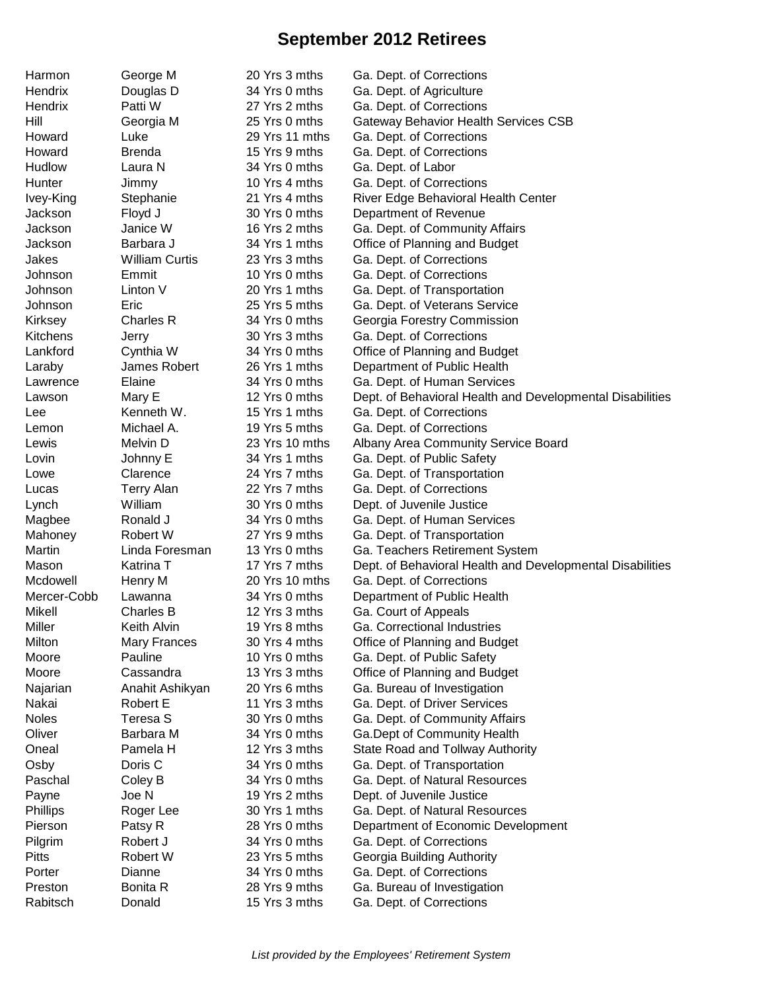## **September 2012 Retirees**

| Harmon                     | George M              | 20 Yrs 3 mths  | Ga. Dept. of Corrections                                  |
|----------------------------|-----------------------|----------------|-----------------------------------------------------------|
| Hendrix                    | Douglas D             | 34 Yrs 0 mths  | Ga. Dept. of Agriculture                                  |
| Hendrix                    | Patti W               | 27 Yrs 2 mths  | Ga. Dept. of Corrections                                  |
| Hill                       | Georgia M             | 25 Yrs 0 mths  | Gateway Behavior Health Services CSB                      |
| Howard                     | Luke                  | 29 Yrs 11 mths | Ga. Dept. of Corrections                                  |
| Howard                     | <b>Brenda</b>         | 15 Yrs 9 mths  | Ga. Dept. of Corrections                                  |
| Hudlow                     | Laura N               | 34 Yrs 0 mths  | Ga. Dept. of Labor                                        |
| Hunter                     | Jimmy                 | 10 Yrs 4 mths  | Ga. Dept. of Corrections                                  |
| Ivey-King                  | Stephanie             | 21 Yrs 4 mths  | River Edge Behavioral Health Center                       |
| Jackson                    | Floyd J               | 30 Yrs 0 mths  | Department of Revenue                                     |
| Jackson                    | Janice W              | 16 Yrs 2 mths  | Ga. Dept. of Community Affairs                            |
| Jackson                    | Barbara J             | 34 Yrs 1 mths  |                                                           |
| Jakes                      | <b>William Curtis</b> | 23 Yrs 3 mths  | Office of Planning and Budget<br>Ga. Dept. of Corrections |
| Johnson                    | Emmit                 | 10 Yrs 0 mths  | Ga. Dept. of Corrections                                  |
|                            | Linton V              | 20 Yrs 1 mths  | Ga. Dept. of Transportation                               |
| Johnson<br>Johnson         | Eric                  | 25 Yrs 5 mths  |                                                           |
|                            |                       | 34 Yrs 0 mths  | Ga. Dept. of Veterans Service                             |
| Kirksey<br><b>Kitchens</b> | Charles R             |                | Georgia Forestry Commission                               |
| Lankford                   | Jerry                 | 30 Yrs 3 mths  | Ga. Dept. of Corrections                                  |
|                            | Cynthia W             | 34 Yrs 0 mths  | Office of Planning and Budget                             |
| Laraby                     | James Robert          | 26 Yrs 1 mths  | Department of Public Health                               |
| Lawrence                   | Elaine                | 34 Yrs 0 mths  | Ga. Dept. of Human Services                               |
| Lawson                     | Mary E                | 12 Yrs 0 mths  | Dept. of Behavioral Health and Developmental Disabilities |
| Lee                        | Kenneth W.            | 15 Yrs 1 mths  | Ga. Dept. of Corrections                                  |
| Lemon                      | Michael A.            | 19 Yrs 5 mths  | Ga. Dept. of Corrections                                  |
| Lewis                      | Melvin D              | 23 Yrs 10 mths | Albany Area Community Service Board                       |
| Lovin                      | Johnny E              | 34 Yrs 1 mths  | Ga. Dept. of Public Safety                                |
| Lowe                       | Clarence              | 24 Yrs 7 mths  | Ga. Dept. of Transportation                               |
| Lucas                      | <b>Terry Alan</b>     | 22 Yrs 7 mths  | Ga. Dept. of Corrections                                  |
| Lynch                      | William               | 30 Yrs 0 mths  | Dept. of Juvenile Justice                                 |
| Magbee                     | Ronald J              | 34 Yrs 0 mths  | Ga. Dept. of Human Services                               |
| Mahoney                    | Robert W              | 27 Yrs 9 mths  | Ga. Dept. of Transportation                               |
| Martin                     | Linda Foresman        | 13 Yrs 0 mths  | Ga. Teachers Retirement System                            |
| Mason                      | Katrina T             | 17 Yrs 7 mths  | Dept. of Behavioral Health and Developmental Disabilities |
| Mcdowell                   | Henry M               | 20 Yrs 10 mths | Ga. Dept. of Corrections                                  |
| Mercer-Cobb                | Lawanna               | 34 Yrs 0 mths  | Department of Public Health                               |
| Mikell                     | Charles B             | 12 Yrs 3 mths  | Ga. Court of Appeals                                      |
| Miller                     | Keith Alvin           | 19 Yrs 8 mths  | Ga. Correctional Industries                               |
| Milton                     | <b>Mary Frances</b>   | 30 Yrs 4 mths  | Office of Planning and Budget                             |
| Moore                      | Pauline               | 10 Yrs 0 mths  | Ga. Dept. of Public Safety                                |
| Moore                      | Cassandra             | 13 Yrs 3 mths  | Office of Planning and Budget                             |
| Najarian                   | Anahit Ashikyan       | 20 Yrs 6 mths  | Ga. Bureau of Investigation                               |
| Nakai                      | Robert E              | 11 Yrs 3 mths  | Ga. Dept. of Driver Services                              |
| <b>Noles</b>               | Teresa S              | 30 Yrs 0 mths  | Ga. Dept. of Community Affairs                            |
| Oliver                     | Barbara M             | 34 Yrs 0 mths  | Ga.Dept of Community Health                               |
| Oneal                      | Pamela H              | 12 Yrs 3 mths  | State Road and Tollway Authority                          |
| Osby                       | Doris C               | 34 Yrs 0 mths  | Ga. Dept. of Transportation                               |
| Paschal                    | Coley B               | 34 Yrs 0 mths  | Ga. Dept. of Natural Resources                            |
| Payne                      | Joe N                 | 19 Yrs 2 mths  | Dept. of Juvenile Justice                                 |
| Phillips                   | Roger Lee             | 30 Yrs 1 mths  | Ga. Dept. of Natural Resources                            |
| Pierson                    | Patsy R               | 28 Yrs 0 mths  | Department of Economic Development                        |
| Pilgrim                    | Robert J              | 34 Yrs 0 mths  | Ga. Dept. of Corrections                                  |
| <b>Pitts</b>               | Robert W              | 23 Yrs 5 mths  | Georgia Building Authority                                |
| Porter                     | Dianne                | 34 Yrs 0 mths  | Ga. Dept. of Corrections                                  |
| Preston                    | Bonita R              | 28 Yrs 9 mths  | Ga. Bureau of Investigation                               |
| Rabitsch                   | Donald                | 15 Yrs 3 mths  | Ga. Dept. of Corrections                                  |